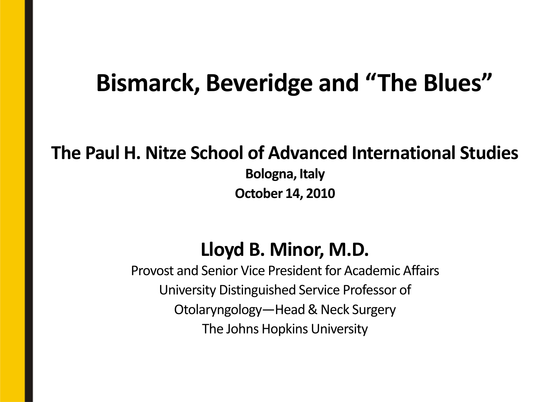### **Bismarck, Beveridge and "The Blues"**

#### **The Paul H. Nitze School of Advanced International Studies**

**Bologna, Italy October 14, 2010**

#### **Lloyd B. Minor, M.D.**

Provost and Senior Vice President for Academic Affairs University Distinguished Service Professor of Otolaryngology—Head & Neck Surgery The Johns Hopkins University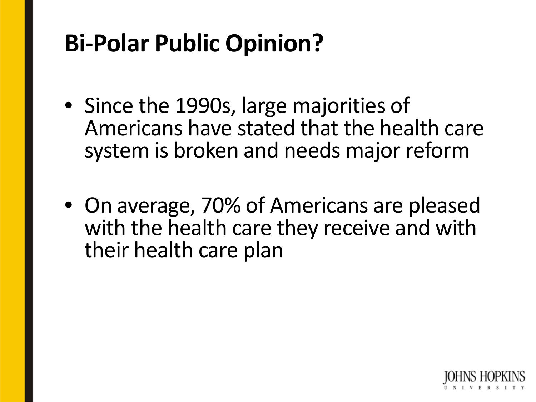## **Bi-Polar Public Opinion?**

- Since the 1990s, large majorities of Americans have stated that the health care system is broken and needs major reform
- On average, 70% of Americans are pleased with the health care they receive and with their health care plan

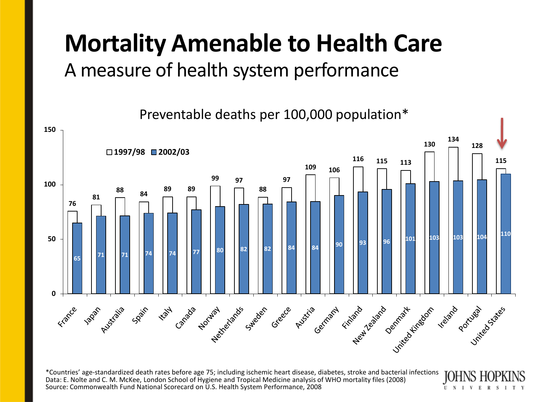#### **Mortality Amenable to Health Care** A measure of health system performance

Preventable deaths per 100,000 population\*



U

\*Countries' age-standardized death rates before age 75; including ischemic heart disease, diabetes, stroke and bacterial infections Data: E. Nolte and C. M. McKee, London School of Hygiene and Tropical Medicine analysis of WHO mortality files (2008) Source: Commonwealth Fund National Scorecard on U.S. Health System Performance, 2008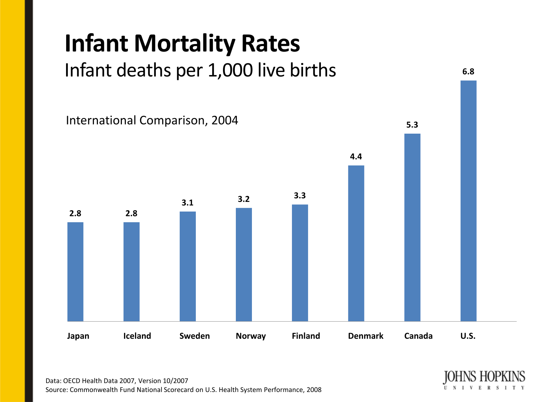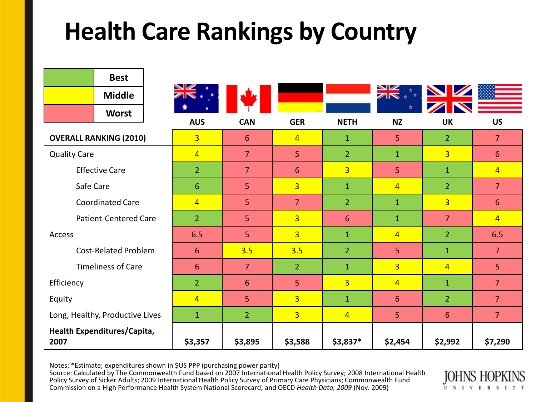## **Health Care Rankings by Country**

|                                     | <b>Best</b>   |                |                |                |                |                         |                |                |
|-------------------------------------|---------------|----------------|----------------|----------------|----------------|-------------------------|----------------|----------------|
|                                     | <b>Middle</b> |                |                |                |                | $\overline{\mathbb{Z}}$ |                |                |
|                                     | <b>Worst</b>  |                |                |                |                |                         |                |                |
|                                     |               | <b>AUS</b>     | <b>CAN</b>     | <b>GER</b>     | <b>NETH</b>    | <b>NZ</b>               | <b>UK</b>      | <b>US</b>      |
| <b>OVERALL RANKING (2010)</b>       |               | $\overline{3}$ | 6              | $\overline{4}$ | $\mathbf{1}$   | 5 <sup>1</sup>          | $\overline{2}$ | $\overline{7}$ |
| <b>Quality Care</b>                 |               | $\overline{4}$ | $\overline{7}$ | 5 <sup>1</sup> | 2 <sup>1</sup> | $\mathbf{1}$            | $\overline{3}$ | 6              |
| <b>Effective Care</b>               |               | 2 <sup>1</sup> | $\overline{7}$ | $6\phantom{1}$ | $\overline{3}$ | 5 <sup>1</sup>          | $\mathbf{1}$   | $\overline{4}$ |
| Safe Care                           |               | 6              | 5              | $\overline{3}$ | $\mathbf{1}$   | $\overline{4}$          | $\overline{2}$ | $\overline{7}$ |
| <b>Coordinated Care</b>             |               | $\overline{4}$ | 5              | $\overline{7}$ | $\overline{2}$ | $\mathbf{1}$            | $\overline{3}$ | 6              |
| <b>Patient-Centered Care</b>        |               | 2 <sup>2</sup> | 5              | $\overline{3}$ | 6              | $\mathbf{1}$            | $\overline{7}$ | $\overline{4}$ |
| Access                              |               | 6.5            | 5              | $\overline{3}$ | $\mathbf{1}$   | $\overline{4}$          | $\overline{2}$ | 6.5            |
| <b>Cost-Related Problem</b>         |               | 6              | 3.5            | 3.5            | $\overline{2}$ | 5 <sup>1</sup>          | $\mathbf{1}$   | $\overline{7}$ |
| <b>Timeliness of Care</b>           |               | 6              | $\overline{7}$ | 2 <sup>1</sup> | $\mathbf{1}$   | $\overline{3}$          | $\overline{4}$ | 5              |
| Efficiency                          |               | 2 <sup>2</sup> | 6              | 5              | $\overline{3}$ | $\overline{4}$          | $\mathbf{1}$   | $\overline{7}$ |
| Equity                              |               | $\overline{4}$ | 5              | $\overline{3}$ | $\mathbf{1}$   | 6                       | $\overline{2}$ | $\overline{7}$ |
| Long, Healthy, Productive Lives     |               | $\mathbf{1}$   | $\overline{2}$ | $\overline{3}$ | $\overline{4}$ | 5 <sup>1</sup>          | 6              | $\overline{7}$ |
| Health Expenditures/Capita,<br>2007 |               | \$3,357        | \$3,895        | \$3,588        | $$3,837*$      | \$2,454                 | \$2,992        | \$7,290        |

Notes: \*Estimate; expenditures shown in \$US PPP (purchasing power parity)

Source: Calculated by The Commonwealth Fund based on 2007 International Health Policy Survey; 2008 International Health Policy Survey of Sicker Adults; 2009 International Health Policy Survey of Primary Care Physicians; Commonwealth Fund Commission on a High Performance Health System National Scorecard; and OECD *Health Data, 2009* (Nov. 2009)

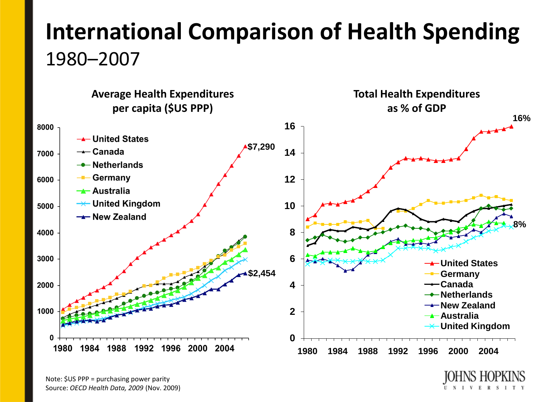## **International Comparison of Health Spending**  1980–2007



Note: \$US PPP = purchasing power parity Source: *OECD Health Data, 2009* (Nov. 2009)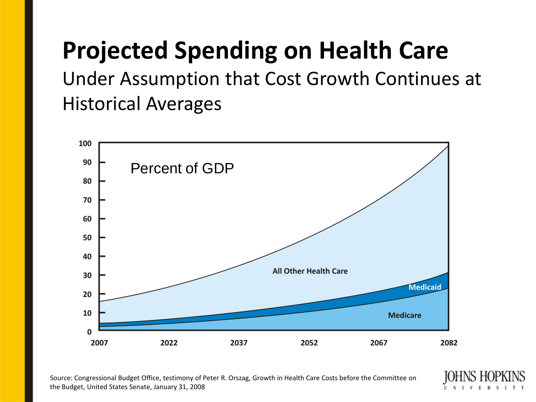## **Projected Spending on Health Care**

Under Assumption that Cost Growth Continues at Historical Averages



Source: Congressional Budget Office, testimony of Peter R. Orszag, Growth in Health Care Costs before the Committee on the Budget, United States Senate, January 31, 2008

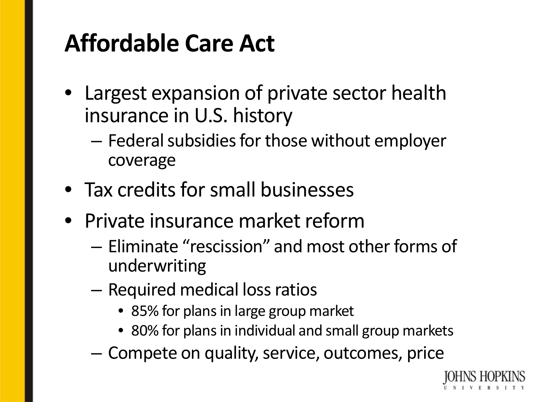## **Affordable Care Act**

- Largest expansion of private sector health insurance in U.S. history
	- Federal subsidies for those without employer coverage
- Tax credits for small businesses
- Private insurance market reform
	- Eliminate "rescission" and most other forms of underwriting
	- Required medical loss ratios
		- 85% for plans in large group market
		- 80% for plans in individual and small group markets
	- Compete on quality, service, outcomes, price

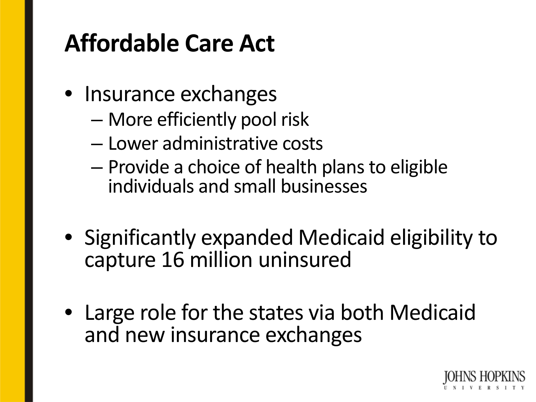## **Affordable Care Act**

- Insurance exchanges
	- More efficiently pool risk
	- Lower administrative costs
	- Provide a choice of health plans to eligible individuals and small businesses
- Significantly expanded Medicaid eligibility to capture 16 million uninsured
- Large role for the states via both Medicaid and new insurance exchanges

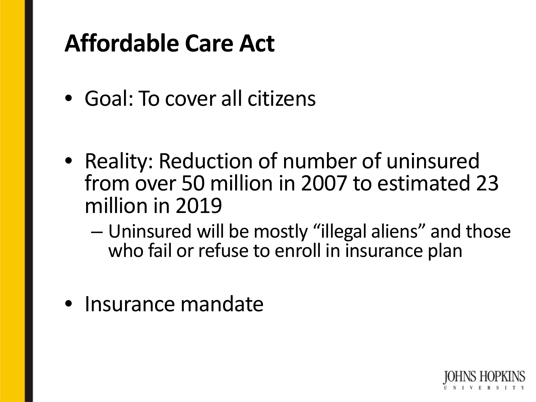## **Affordable Care Act**

- Goal: To cover all citizens
- Reality: Reduction of number of uninsured from over 50 million in 2007 to estimated 23 million in 2019
	- Uninsured will be mostly "illegal aliens" and those who fail or refuse to enroll in insurance plan
- Insurance mandate

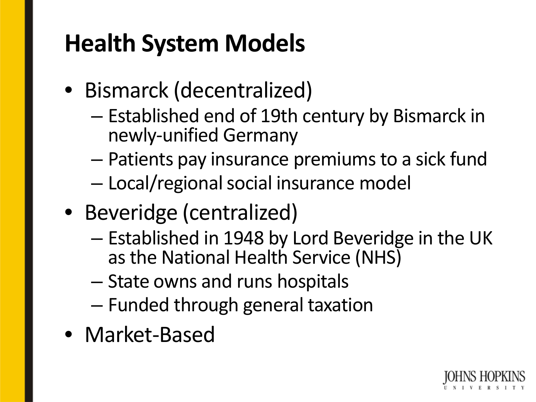## **Health System Models**

- Bismarck (decentralized)
	- Established end of 19th century by Bismarck in newly-unified Germany
	- Patients pay insurance premiums to a sick fund
	- Local/regional social insurance model
- Beveridge (centralized)
	- Established in 1948 by Lord Beveridge in the UK as the National Health Service (NHS)
	- State owns and runs hospitals
	- Funded through general taxation
- Market-Based

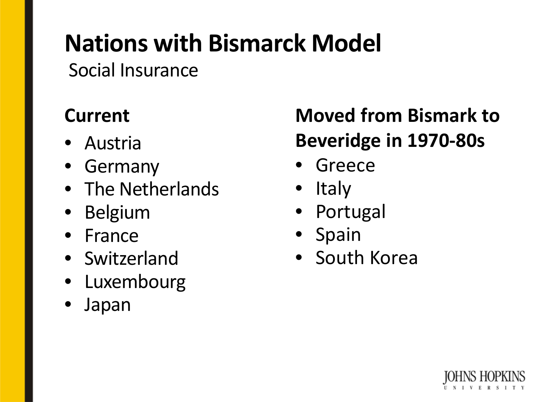## **Nations with Bismarck Model**

Social Insurance

- Austria
- Germany
- The Netherlands
- Belgium
- France
- Switzerland
- Luxembourg
- Japan

#### **Current Moved from Bismark to Beveridge in 1970-80s**

- Greece
- Italy
- Portugal
- Spain
- South Korea

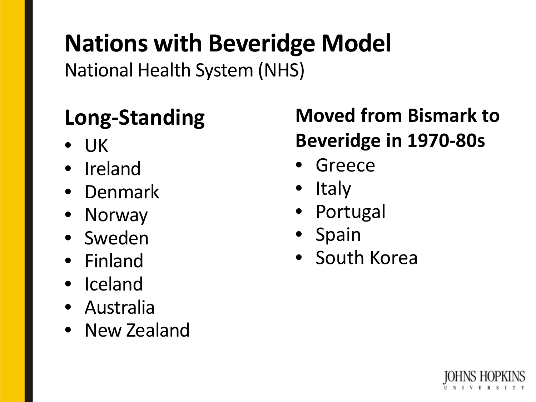## **Nations with Beveridge Model**

National Health System (NHS)

- UK
- Ireland
- Denmark
- Norway
- Sweden
- Finland
- Iceland
- Australia
- New Zealand

#### **Long-Standing Moved from Bismark to Beveridge in 1970-80s**

- Greece
- Italy
- Portugal
- Spain
- South Korea

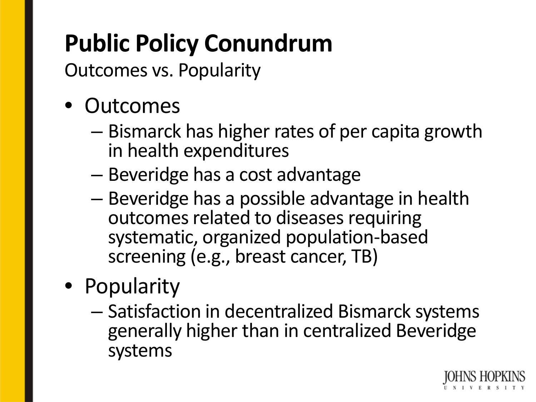## **Public Policy Conundrum**

Outcomes vs. Popularity

- Outcomes
	- Bismarck has higher rates of per capita growth in health expenditures
	- Beveridge has a cost advantage
	- Beveridge has a possible advantage in health outcomes related to diseases requiring systematic, organized population-based screening (e.g., breast cancer, TB)
- Popularity
	- Satisfaction in decentralized Bismarck systems generally higher than in centralized Beveridge systems

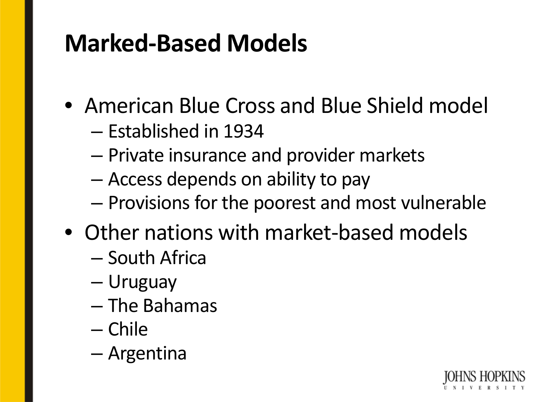## **Marked-Based Models**

- American Blue Cross and Blue Shield model
	- Established in 1934
	- Private insurance and provider markets
	- Access depends on ability to pay
	- Provisions for the poorest and most vulnerable
- Other nations with market-based models
	- South Africa
	- Uruguay
	- The Bahamas
	- Chile
	- Argentina

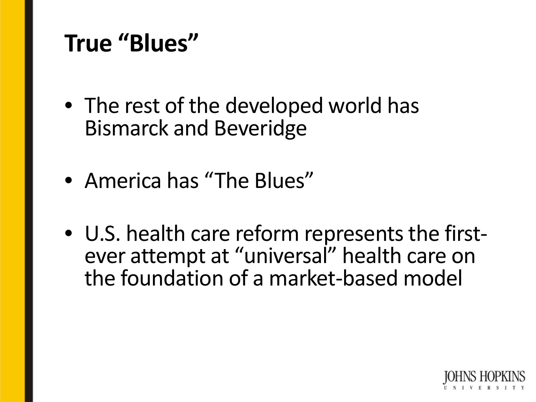## **True "Blues"**

- The rest of the developed world has Bismarck and Beveridge
- America has "The Blues"
- U.S. health care reform represents the first- ever attempt at "universal" health care on the foundation of a market-based model

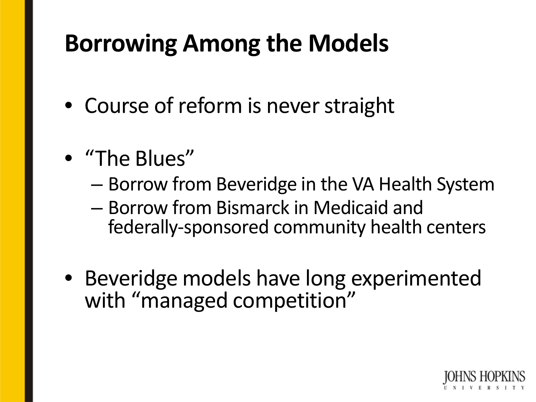## **Borrowing Among the Models**

- Course of reform is never straight
- "The Blues"
	- Borrow from Beveridge in the VA Health System
	- Borrow from Bismarck in Medicaid and federally-sponsored community health centers
- Beveridge models have long experimented with "managed competition"

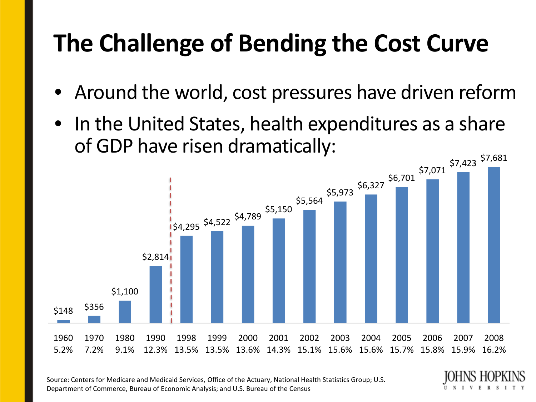## **The Challenge of Bending the Cost Curve**

- Around the world, cost pressures have driven reform
- In the United States, health expenditures as a share of GDP have risen dramatically:



Source: Centers for Medicare and Medicaid Services, Office of the Actuary, National Health Statistics Group; U.S. Department of Commerce, Bureau of Economic Analysis; and U.S. Bureau of the Census

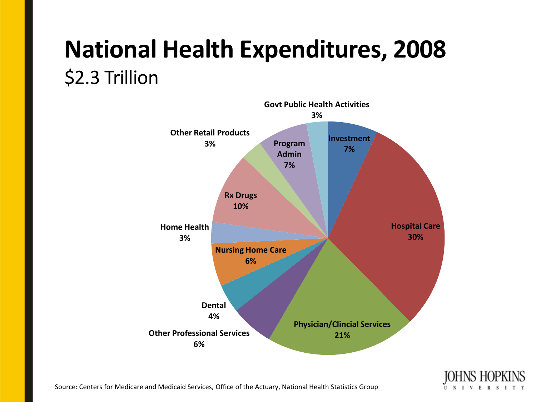## **National Health Expenditures, 2008** \$2.3 Trillion





Source: Centers for Medicare and Medicaid Services, Office of the Actuary, National Health Statistics Group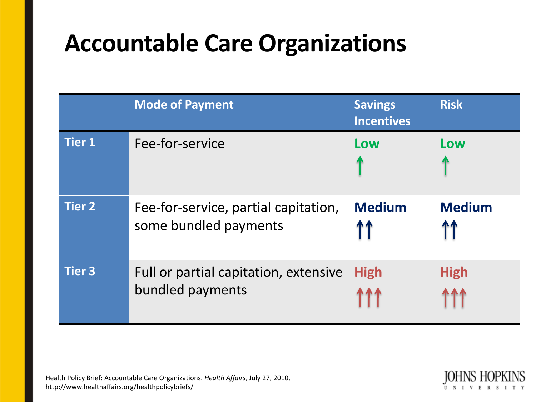## **Accountable Care Organizations**

|               | <b>Mode of Payment</b>                                        | <b>Savings</b><br><b>Incentives</b> | <b>Risk</b>   |
|---------------|---------------------------------------------------------------|-------------------------------------|---------------|
| <b>Tier 1</b> | Fee-for-service                                               | Low                                 | Low           |
| <b>Tier 2</b> | Fee-for-service, partial capitation,<br>some bundled payments | <b>Medium</b>                       | <b>Medium</b> |
| <b>Tier 3</b> | Full or partial capitation, extensive<br>bundled payments     | <b>High</b>                         | <b>High</b>   |

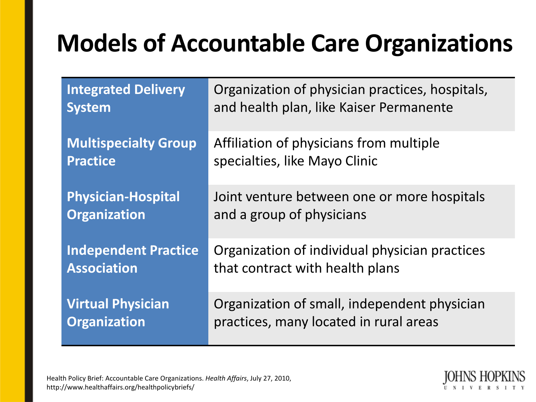## **Models of Accountable Care Organizations**

| <b>Integrated Delivery</b>  | Organization of physician practices, hospitals, |
|-----------------------------|-------------------------------------------------|
| <b>System</b>               | and health plan, like Kaiser Permanente         |
| <b>Multispecialty Group</b> | Affiliation of physicians from multiple         |
| <b>Practice</b>             | specialties, like Mayo Clinic                   |
| <b>Physician-Hospital</b>   | Joint venture between one or more hospitals     |
| <b>Organization</b>         | and a group of physicians                       |
| <b>Independent Practice</b> | Organization of individual physician practices  |
| <b>Association</b>          | that contract with health plans                 |
| <b>Virtual Physician</b>    | Organization of small, independent physician    |
| <b>Organization</b>         | practices, many located in rural areas          |

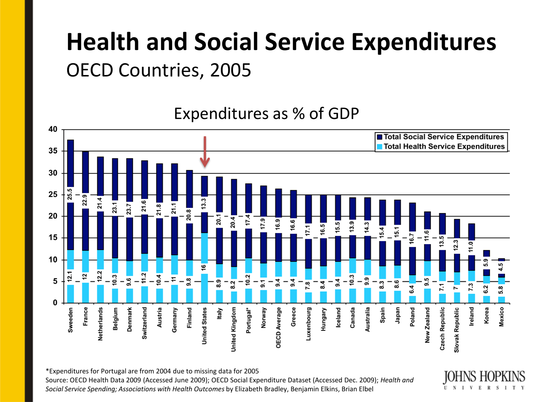## **Health and Social Service Expenditures**  OECD Countries, 2005

Expenditures as % of GDP40 ■ Total Social Service Expenditures Total Health Service Expenditures 35 30 25 20  $20.4$  $\overline{5}$ . 16.9 5.5 15 10 း 5 и ທ່  $\mathbf{0}$ Mexico Belgium Austria Germany Finland Portugal\* Iceland Canada Spain Japan Poland New Zealand Czech Republic Ireland Korea France Switzerland **United States** United Kingdom Norway Greece Luxenbourg Hungary Australia Slovak Republic Sweeden Netherlands Denmark taly **OECD Average** 

\*Expenditures for Portugal are from 2004 due to missing data for 2005 Source: OECD Health Data 2009 (Accessed June 2009); OECD Social Expenditure Dataset (Accessed Dec. 2009); *Health and* 

*Social Service Spending; Associations with Health Outcomes* by Elizabeth Bradley, Benjamin Elkins, Brian Elbel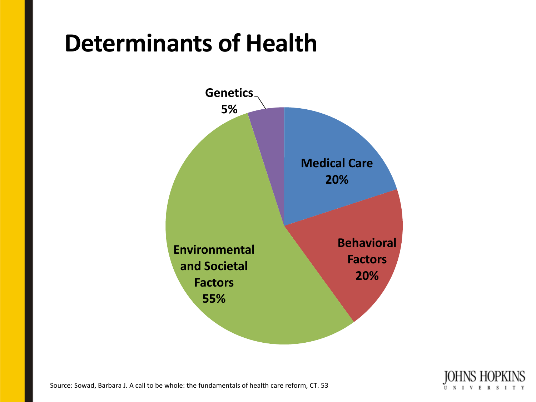## **Determinants of Health**





Source: Sowad, Barbara J. A call to be whole: the fundamentals of health care reform, CT. 53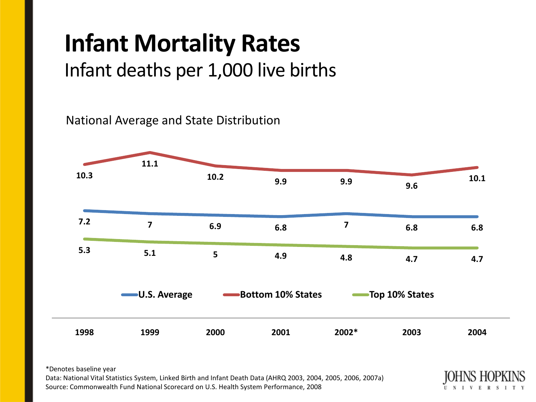# **Infant Mortality Rates**

Infant deaths per 1,000 live births

National Average and State Distribution



\*Denotes baseline year

Data: National Vital Statistics System, Linked Birth and Infant Death Data (AHRQ 2003, 2004, 2005, 2006, 2007a) Source: Commonwealth Fund National Scorecard on U.S. Health System Performance, 2008